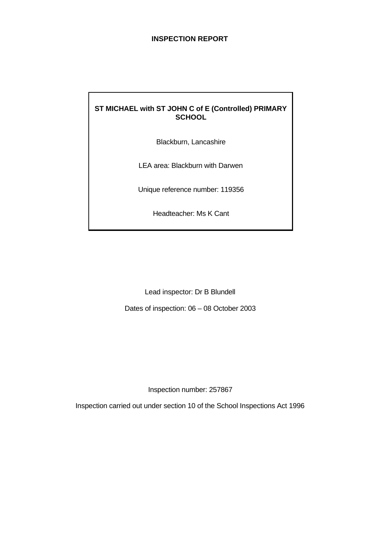## **INSPECTION REPORT**

# **ST MICHAEL with ST JOHN C of E (Controlled) PRIMARY SCHOOL**

Blackburn, Lancashire

LEA area: Blackburn with Darwen

Unique reference number: 119356

Headteacher: Ms K Cant

Lead inspector: Dr B Blundell

Dates of inspection: 06 – 08 October 2003

Inspection number: 257867

Inspection carried out under section 10 of the School Inspections Act 1996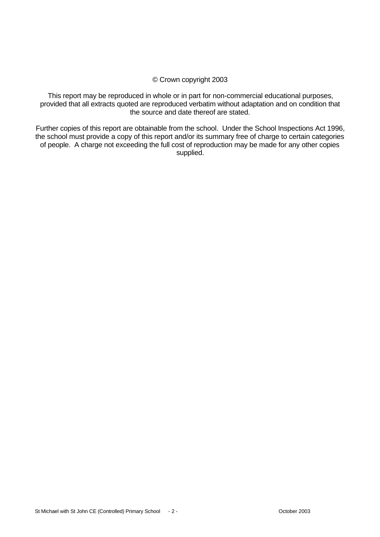#### © Crown copyright 2003

This report may be reproduced in whole or in part for non-commercial educational purposes, provided that all extracts quoted are reproduced verbatim without adaptation and on condition that the source and date thereof are stated.

Further copies of this report are obtainable from the school. Under the School Inspections Act 1996, the school must provide a copy of this report and/or its summary free of charge to certain categories of people. A charge not exceeding the full cost of reproduction may be made for any other copies supplied.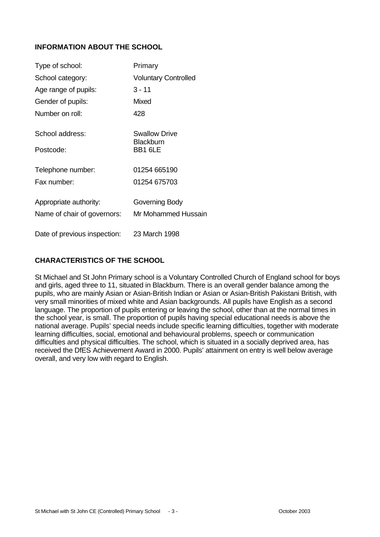# **INFORMATION ABOUT THE SCHOOL**

| Type of school:              | Primary                                  |
|------------------------------|------------------------------------------|
| School category:             | <b>Voluntary Controlled</b>              |
| Age range of pupils:         | $3 - 11$                                 |
| Gender of pupils:            | Mixed                                    |
| Number on roll:              | 428                                      |
| School address:              | <b>Swallow Drive</b><br><b>Blackburn</b> |
| Postcode:                    | BB1 6LE                                  |
| Telephone number:            | 01254 665190                             |
| Fax number:                  | 01254 675703                             |
| Appropriate authority:       | Governing Body                           |
| Name of chair of governors:  | Mr Mohammed Hussain                      |
| Date of previous inspection: | 23 March 1998                            |

## **CHARACTERISTICS OF THE SCHOOL**

St Michael and St John Primary school is a Voluntary Controlled Church of England school for boys and girls, aged three to 11, situated in Blackburn. There is an overall gender balance among the pupils, who are mainly Asian or Asian-British Indian or Asian or Asian-British Pakistani British, with very small minorities of mixed white and Asian backgrounds. All pupils have English as a second language. The proportion of pupils entering or leaving the school, other than at the normal times in the school year, is small. The proportion of pupils having special educational needs is above the national average. Pupils' special needs include specific learning difficulties, together with moderate learning difficulties, social, emotional and behavioural problems, speech or communication difficulties and physical difficulties. The school, which is situated in a socially deprived area, has received the DfES Achievement Award in 2000. Pupils' attainment on entry is well below average overall, and very low with regard to English.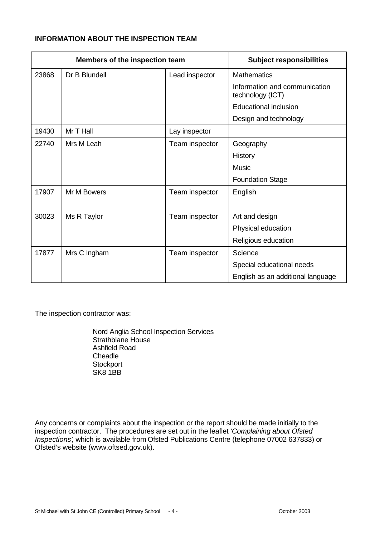# **INFORMATION ABOUT THE INSPECTION TEAM**

|       | Members of the inspection team |                | <b>Subject responsibilities</b>                   |
|-------|--------------------------------|----------------|---------------------------------------------------|
| 23868 | Dr B Blundell                  | Lead inspector | <b>Mathematics</b>                                |
|       |                                |                | Information and communication<br>technology (ICT) |
|       |                                |                | <b>Educational inclusion</b>                      |
|       |                                |                | Design and technology                             |
| 19430 | Mr T Hall                      | Lay inspector  |                                                   |
| 22740 | Mrs M Leah                     | Team inspector | Geography                                         |
|       |                                |                | History                                           |
|       |                                |                | <b>Music</b>                                      |
|       |                                |                | <b>Foundation Stage</b>                           |
| 17907 | Mr M Bowers                    | Team inspector | English                                           |
|       |                                |                |                                                   |
| 30023 | Ms R Taylor                    | Team inspector | Art and design                                    |
|       |                                |                | Physical education                                |
|       |                                |                | Religious education                               |
| 17877 | Mrs C Ingham                   | Team inspector | Science                                           |
|       |                                |                | Special educational needs                         |
|       |                                |                | English as an additional language                 |

The inspection contractor was:

Nord Anglia School Inspection Services Strathblane House Ashfield Road **Cheadle Stockport** SK8 1BB

Any concerns or complaints about the inspection or the report should be made initially to the inspection contractor. The procedures are set out in the leaflet *'Complaining about Ofsted Inspections'*, which is available from Ofsted Publications Centre (telephone 07002 637833) or Ofsted's website (www.oftsed.gov.uk).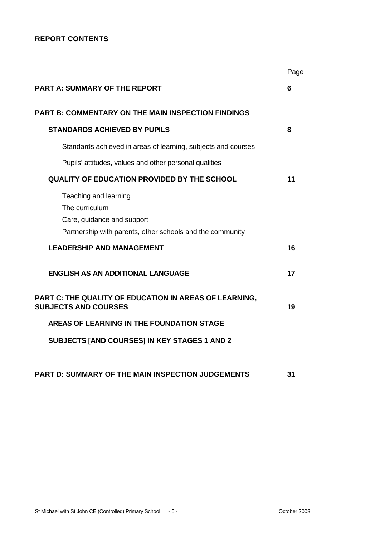# **REPORT CONTENTS**

|                                                                                                                                    | Page |
|------------------------------------------------------------------------------------------------------------------------------------|------|
| <b>PART A: SUMMARY OF THE REPORT</b>                                                                                               | 6    |
| <b>PART B: COMMENTARY ON THE MAIN INSPECTION FINDINGS</b>                                                                          |      |
| <b>STANDARDS ACHIEVED BY PUPILS</b>                                                                                                | 8    |
| Standards achieved in areas of learning, subjects and courses                                                                      |      |
| Pupils' attitudes, values and other personal qualities                                                                             |      |
| <b>QUALITY OF EDUCATION PROVIDED BY THE SCHOOL</b>                                                                                 | 11   |
| Teaching and learning<br>The curriculum<br>Care, guidance and support<br>Partnership with parents, other schools and the community |      |
| <b>LEADERSHIP AND MANAGEMENT</b>                                                                                                   | 16   |
| <b>ENGLISH AS AN ADDITIONAL LANGUAGE</b>                                                                                           | 17   |
| PART C: THE QUALITY OF EDUCATION IN AREAS OF LEARNING,<br><b>SUBJECTS AND COURSES</b>                                              | 19   |
| AREAS OF LEARNING IN THE FOUNDATION STAGE                                                                                          |      |
| SUBJECTS [AND COURSES] IN KEY STAGES 1 AND 2                                                                                       |      |
| PART D: SUMMARY OF THE MAIN INSPECTION JUDGEMENTS                                                                                  | 31   |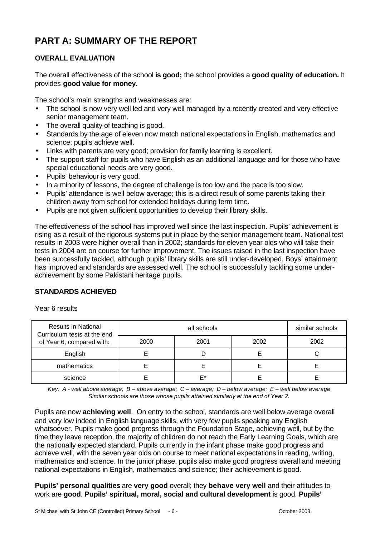# **PART A: SUMMARY OF THE REPORT**

# **OVERALL EVALUATION**

The overall effectiveness of the school **is good;** the school provides a **good quality of education.** It provides **good value for money.**

The school's main strengths and weaknesses are:

- The school is now very well led and very well managed by a recently created and very effective senior management team.
- The overall quality of teaching is good.
- Standards by the age of eleven now match national expectations in English, mathematics and science; pupils achieve well.
- Links with parents are very good; provision for family learning is excellent.
- The support staff for pupils who have English as an additional language and for those who have special educational needs are very good.
- Pupils' behaviour is very good.
- In a minority of lessons, the degree of challenge is too low and the pace is too slow.
- Pupils' attendance is well below average; this is a direct result of some parents taking their children away from school for extended holidays during term time.
- Pupils are not given sufficient opportunities to develop their library skills.

The effectiveness of the school has improved well since the last inspection. Pupils' achievement is rising as a result of the rigorous systems put in place by the senior management team. National test results in 2003 were higher overall than in 2002; standards for eleven year olds who will take their tests in 2004 are on course for further improvement. The issues raised in the last inspection have been successfully tackled, although pupils' library skills are still under-developed. Boys' attainment has improved and standards are assessed well. The school is successfully tackling some underachievement by some Pakistani heritage pupils.

# **STANDARDS ACHIEVED**

Year 6 results

| <b>Results in National</b><br>Curriculum tests at the end |      | similar schools |  |  |
|-----------------------------------------------------------|------|-----------------|--|--|
| of Year 6, compared with:                                 | 2000 | 2002            |  |  |
| English                                                   |      |                 |  |  |
| mathematics                                               |      |                 |  |  |
| science                                                   |      | F*              |  |  |

*Key: A - well above average; B – above average; C – average; D – below average; E – well below average Similar schools are those whose pupils attained similarly at the end of Year 2.*

Pupils are now **achieving well**. On entry to the school, standards are well below average overall and very low indeed in English language skills, with very few pupils speaking any English whatsoever. Pupils make good progress through the Foundation Stage, achieving well, but by the time they leave reception, the majority of children do not reach the Early Learning Goals, which are the nationally expected standard. Pupils currently in the infant phase make good progress and achieve well, with the seven year olds on course to meet national expectations in reading, writing, mathematics and science. In the junior phase, pupils also make good progress overall and meeting national expectations in English, mathematics and science; their achievement is good.

**Pupils' personal qualities** are **very good** overall; they **behave very well** and their attitudes to work are **good**. **Pupils' spiritual, moral, social and cultural development** is good. **Pupils'**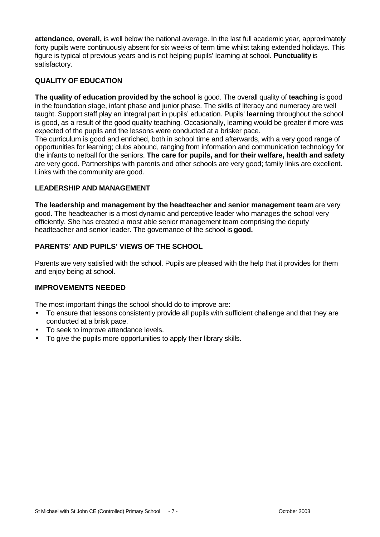**attendance, overall,** is well below the national average. In the last full academic year, approximately forty pupils were continuously absent for six weeks of term time whilst taking extended holidays. This figure is typical of previous years and is not helping pupils' learning at school. **Punctuality** is satisfactory.

# **QUALITY OF EDUCATION**

**The quality of education provided by the school** is good. The overall quality of **teaching** is good in the foundation stage, infant phase and junior phase. The skills of literacy and numeracy are well taught. Support staff play an integral part in pupils' education. Pupils' **learning** throughout the school is good, as a result of the good quality teaching. Occasionally, learning would be greater if more was expected of the pupils and the lessons were conducted at a brisker pace.

The curriculum is good and enriched, both in school time and afterwards, with a very good range of opportunities for learning; clubs abound, ranging from information and communication technology for the infants to netball for the seniors. **The care for pupils, and for their welfare, health and safety** are very good. Partnerships with parents and other schools are very good; family links are excellent. Links with the community are good.

## **LEADERSHIP AND MANAGEMENT**

**The leadership and management by the headteacher and senior management team** are very good. The headteacher is a most dynamic and perceptive leader who manages the school very efficiently. She has created a most able senior management team comprising the deputy headteacher and senior leader. The governance of the school is **good.**

# **PARENTS' AND PUPILS' VIEWS OF THE SCHOOL**

Parents are very satisfied with the school. Pupils are pleased with the help that it provides for them and enjoy being at school.

#### **IMPROVEMENTS NEEDED**

The most important things the school should do to improve are:

- To ensure that lessons consistently provide all pupils with sufficient challenge and that they are conducted at a brisk pace.
- To seek to improve attendance levels.
- To give the pupils more opportunities to apply their library skills.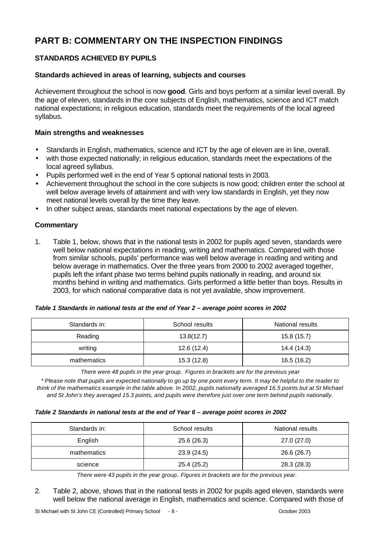# **PART B: COMMENTARY ON THE INSPECTION FINDINGS**

# **STANDARDS ACHIEVED BY PUPILS**

## **Standards achieved in areas of learning, subjects and courses**

Achievement throughout the school is now **good**. Girls and boys perform at a similar level overall. By the age of eleven, standards in the core subjects of English, mathematics, science and ICT match national expectations; in religious education, standards meet the requirements of the local agreed syllabus.

#### **Main strengths and weaknesses**

- Standards in English, mathematics, science and ICT by the age of eleven are in line, overall.
- with those expected nationally; in religious education, standards meet the expectations of the local agreed syllabus.
- Pupils performed well in the end of Year 5 optional national tests in 2003.
- Achievement throughout the school in the core subjects is now good; children enter the school at well below average levels of attainment and with very low standards in English, yet they now meet national levels overall by the time they leave.
- In other subject areas, standards meet national expectations by the age of eleven.

## **Commentary**

1. Table 1, below, shows that in the national tests in 2002 for pupils aged seven, standards were well below national expectations in reading, writing and mathematics. Compared with those from similar schools, pupils' performance was well below average in reading and writing and below average in mathematics. Over the three years from 2000 to 2002 averaged together, pupils left the infant phase two terms behind pupils nationally in reading, and around six months behind in writing and mathematics. Girls performed a little better than boys. Results in 2003, for which national comparative data is not yet available, show improvement.

| Table 1 Standards in national tests at the end of Year 2 - average point scores in 2002 |  |  |  |  |  |
|-----------------------------------------------------------------------------------------|--|--|--|--|--|
|                                                                                         |  |  |  |  |  |

| Standards in: | School results | National results |
|---------------|----------------|------------------|
| Reading       | 13.8(12.7)     | 15.8 (15.7)      |
| writing       | 12.6(12.4)     | 14.4 (14.3)      |
| mathematics   | 15.3 (12.8)    | 16.5 (16.2)      |

*There were 48 pupils in the year group. Figures in brackets are for the previous year*

*\* Please note that pupils are expected nationally to go up by one point every term. It may be helpful to the reader to think of the mathematics example in the table above. In 2002, pupils nationally averaged 16.5 points but at St Michael and St John's they averaged 15.3 points, and pupils were therefore just over one term behind pupils nationally.*

#### *Table 2 Standards in national tests at the end of Year 6 – average point scores in 2002*

| Standards in: | School results | National results |
|---------------|----------------|------------------|
| English       | 25.6(26.3)     | 27.0 (27.0)      |
| mathematics   | 23.9 (24.5)    | 26.6 (26.7)      |
| science       | 25.4 (25.2)    | 28.3 (28.3)      |

*There were 43 pupils in the year group*. *Figures in brackets are for the previous year.*

2. Table 2, above, shows that in the national tests in 2002 for pupils aged eleven, standards were well below the national average in English, mathematics and science. Compared with those of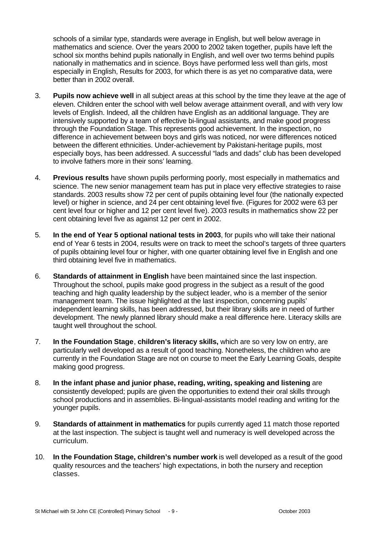schools of a similar type, standards were average in English, but well below average in mathematics and science. Over the years 2000 to 2002 taken together, pupils have left the school six months behind pupils nationally in English, and well over two terms behind pupils nationally in mathematics and in science. Boys have performed less well than girls, most especially in English, Results for 2003, for which there is as yet no comparative data, were better than in 2002 overall.

- 3. **Pupils now achieve well** in all subject areas at this school by the time they leave at the age of eleven. Children enter the school with well below average attainment overall, and with very low levels of English. Indeed, all the children have English as an additional language. They are intensively supported by a team of effective bi-lingual assistants, and make good progress through the Foundation Stage. This represents good achievement. In the inspection, no difference in achievement between boys and girls was noticed, nor were differences noticed between the different ethnicities. Under-achievement by Pakistani-heritage pupils, most especially boys, has been addressed. A successful "lads and dads" club has been developed to involve fathers more in their sons' learning.
- 4. **Previous results** have shown pupils performing poorly, most especially in mathematics and science. The new senior management team has put in place very effective strategies to raise standards. 2003 results show 72 per cent of pupils obtaining level four (the nationally expected level) or higher in science, and 24 per cent obtaining level five. (Figures for 2002 were 63 per cent level four or higher and 12 per cent level five). 2003 results in mathematics show 22 per cent obtaining level five as against 12 per cent in 2002.
- 5. **In the end of Year 5 optional national tests in 2003**, for pupils who will take their national end of Year 6 tests in 2004, results were on track to meet the school's targets of three quarters of pupils obtaining level four or higher, with one quarter obtaining level five in English and one third obtaining level five in mathematics.
- 6. **Standards of attainment in English** have been maintained since the last inspection. Throughout the school, pupils make good progress in the subject as a result of the good teaching and high quality leadership by the subject leader, who is a member of the senior management team. The issue highlighted at the last inspection, concerning pupils' independent learning skills, has been addressed, but their library skills are in need of further development. The newly planned library should make a real difference here. Literacy skills are taught well throughout the school.
- 7. **In the Foundation Stage**, **children's literacy skills,** which are so very low on entry, are particularly well developed as a result of good teaching. Nonetheless, the children who are currently in the Foundation Stage are not on course to meet the Early Learning Goals, despite making good progress.
- 8. **In the infant phase and junior phase, reading, writing, speaking and listening** are consistently developed; pupils are given the opportunities to extend their oral skills through school productions and in assemblies. Bi-lingual-assistants model reading and writing for the younger pupils.
- 9. **Standards of attainment in mathematics** for pupils currently aged 11 match those reported at the last inspection. The subject is taught well and numeracy is well developed across the curriculum.
- 10. **In the Foundation Stage, children's number work** is well developed as a result of the good quality resources and the teachers' high expectations, in both the nursery and reception classes.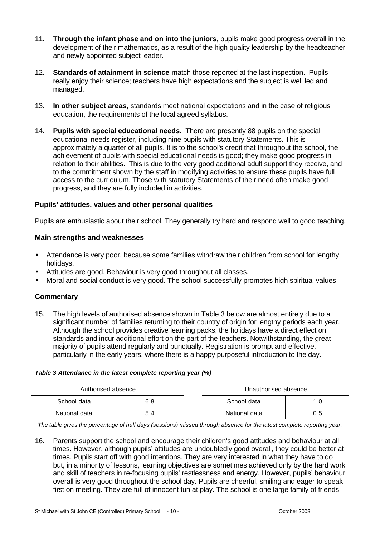- 11. **Through the infant phase and on into the juniors,** pupils make good progress overall in the development of their mathematics, as a result of the high quality leadership by the headteacher and newly appointed subject leader.
- 12. **Standards of attainment in science** match those reported at the last inspection. Pupils really enjoy their science; teachers have high expectations and the subject is well led and managed.
- 13. **In other subject areas,** standards meet national expectations and in the case of religious education, the requirements of the local agreed syllabus.
- 14. **Pupils with special educational needs.** There are presently 88 pupils on the special educational needs register, including nine pupils with statutory Statements. This is approximately a quarter of all pupils. It is to the school's credit that throughout the school, the achievement of pupils with special educational needs is good; they make good progress in relation to their abilities. This is due to the very good additional adult support they receive, and to the commitment shown by the staff in modifying activities to ensure these pupils have full access to the curriculum. Those with statutory Statements of their need often make good progress, and they are fully included in activities.

#### **Pupils' attitudes, values and other personal qualities**

Pupils are enthusiastic about their school. They generally try hard and respond well to good teaching.

#### **Main strengths and weaknesses**

- Attendance is very poor, because some families withdraw their children from school for lengthy holidays.
- Attitudes are good. Behaviour is very good throughout all classes.
- Moral and social conduct is very good. The school successfully promotes high spiritual values.

#### **Commentary**

15. The high levels of authorised absence shown in Table 3 below are almost entirely due to a significant number of families returning to their country of origin for lengthy periods each year. Although the school provides creative learning packs, the holidays have a direct effect on standards and incur additional effort on the part of the teachers. Notwithstanding, the great majority of pupils attend regularly and punctually. Registration is prompt and effective, particularly in the early years, where there is a happy purposeful introduction to the day.

#### *Table 3 Attendance in the latest complete reporting year (%)*

| Authorised absence |     | Unauthorised absence |     |
|--------------------|-----|----------------------|-----|
| School data        | 6.8 | School data          |     |
| National data      | 5.4 | National data        | 0.5 |

*The table gives the percentage of half days (sessions) missed through absence for the latest complete reporting year.*

16. Parents support the school and encourage their children's good attitudes and behaviour at all times. However, although pupils' attitudes are undoubtedly good overall, they could be better at times. Pupils start off with good intentions. They are very interested in what they have to do but, in a minority of lessons, learning objectives are sometimes achieved only by the hard work and skill of teachers in re-focusing pupils' restlessness and energy. However, pupils' behaviour overall is very good throughout the school day. Pupils are cheerful, smiling and eager to speak first on meeting. They are full of innocent fun at play. The school is one large family of friends.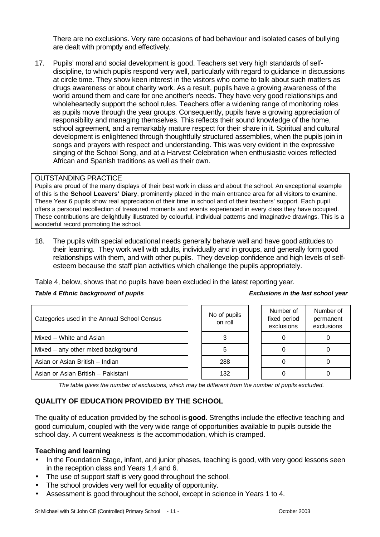There are no exclusions. Very rare occasions of bad behaviour and isolated cases of bullying are dealt with promptly and effectively.

17. Pupils' moral and social development is good. Teachers set very high standards of selfdiscipline, to which pupils respond very well, particularly with regard to guidance in discussions at circle time. They show keen interest in the visitors who come to talk about such matters as drugs awareness or about charity work. As a result, pupils have a growing awareness of the world around them and care for one another's needs. They have very good relationships and wholeheartedly support the school rules. Teachers offer a widening range of monitoring roles as pupils move through the year groups. Consequently, pupils have a growing appreciation of responsibility and managing themselves. This reflects their sound knowledge of the home, school agreement, and a remarkably mature respect for their share in it. Spiritual and cultural development is enlightened through thoughtfully structured assemblies, when the pupils join in songs and prayers with respect and understanding. This was very evident in the expressive singing of the School Song, and at a Harvest Celebration when enthusiastic voices reflected African and Spanish traditions as well as their own.

#### OUTSTANDING PRACTICE

Pupils are proud of the many displays of their best work in class and about the school. An exceptional example of this is the **School Leavers' Diary**, prominently placed in the main entrance area for all visitors to examine. These Year 6 pupils show real appreciation of their time in school and of their teachers' support. Each pupil offers a personal recollection of treasured moments and events experienced in every class they have occupied. These contributions are delightfully illustrated by colourful, individual patterns and imaginative drawings. This is a wonderful record promoting the school.

18. The pupils with special educational needs generally behave well and have good attitudes to their learning. They work well with adults, individually and in groups, and generally form good relationships with them, and with other pupils. They develop confidence and high levels of selfesteem because the staff plan activities which challenge the pupils appropriately.

Table 4, below, shows that no pupils have been excluded in the latest reporting year.

#### *Table 4 Ethnic background of pupils Exclusions in the last school year*

| Categories used in the Annual School Census |  | No of pupils<br>on roll | Number of<br>fixed period<br>exclusions | Numb<br>perma<br>exclus |
|---------------------------------------------|--|-------------------------|-----------------------------------------|-------------------------|
| Mixed - White and Asian                     |  |                         |                                         |                         |
| Mixed - any other mixed background          |  | 5                       |                                         |                         |
| Asian or Asian British - Indian             |  | 288                     |                                         | 0                       |
| Asian or Asian British - Pakistani          |  | 132                     |                                         | 0                       |

| No of pupils<br>on roll | Number of<br>fixed period<br>exclusions | Number of<br>permanent<br>exclusions |
|-------------------------|-----------------------------------------|--------------------------------------|
|                         |                                         |                                      |
| 5                       |                                         |                                      |
| 288                     |                                         |                                      |
| 132                     |                                         |                                      |

*The table gives the number of exclusions, which may be different from the number of pupils excluded.*

# **QUALITY OF EDUCATION PROVIDED BY THE SCHOOL**

The quality of education provided by the school is **good**. Strengths include the effective teaching and good curriculum, coupled with the very wide range of opportunities available to pupils outside the school day. A current weakness is the accommodation, which is cramped.

#### **Teaching and learning**

- In the Foundation Stage, infant, and junior phases, teaching is good, with very good lessons seen in the reception class and Years 1,4 and 6.
- The use of support staff is very good throughout the school.
- The school provides very well for equality of opportunity.
- Assessment is good throughout the school, except in science in Years 1 to 4.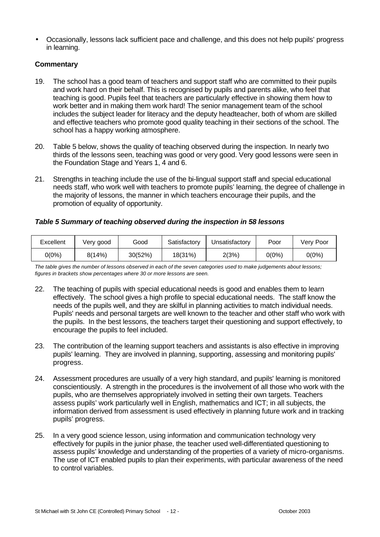• Occasionally, lessons lack sufficient pace and challenge, and this does not help pupils' progress in learning.

# **Commentary**

- 19. The school has a good team of teachers and support staff who are committed to their pupils and work hard on their behalf. This is recognised by pupils and parents alike, who feel that teaching is good. Pupils feel that teachers are particularly effective in showing them how to work better and in making them work hard! The senior management team of the school includes the subject leader for literacy and the deputy headteacher, both of whom are skilled and effective teachers who promote good quality teaching in their sections of the school. The school has a happy working atmosphere.
- 20. Table 5 below, shows the quality of teaching observed during the inspection. In nearly two thirds of the lessons seen, teaching was good or very good. Very good lessons were seen in the Foundation Stage and Years 1, 4 and 6.
- 21. Strengths in teaching include the use of the bi-lingual support staff and special educational needs staff, who work well with teachers to promote pupils' learning, the degree of challenge in the majority of lessons, the manner in which teachers encourage their pupils, and the promotion of equality of opportunity.

## *Table 5 Summary of teaching observed during the inspection in 58 lessons*

| Excellent | Very good | Good    | Satisfactory | Unsatisfactory | Poor  | Verv Poor |
|-----------|-----------|---------|--------------|----------------|-------|-----------|
| 0(0%)     | 8(14%)    | 30(52%) | 18(31%)      | 2(3%)          | 0(0%) | 0(0%)     |

*The table gives the number of lessons observed in each of the seven categories used to make judgements about lessons; figures in brackets show percentages where 30 or more lessons are seen.*

- 22. The teaching of pupils with special educational needs is good and enables them to learn effectively. The school gives a high profile to special educational needs. The staff know the needs of the pupils well, and they are skilful in planning activities to match individual needs. Pupils' needs and personal targets are well known to the teacher and other staff who work with the pupils. In the best lessons, the teachers target their questioning and support effectively, to encourage the pupils to feel included.
- 23. The contribution of the learning support teachers and assistants is also effective in improving pupils' learning. They are involved in planning, supporting, assessing and monitoring pupils' progress.
- 24. Assessment procedures are usually of a very high standard, and pupils' learning is monitored conscientiously. A strength in the procedures is the involvement of all those who work with the pupils, who are themselves appropriately involved in setting their own targets. Teachers assess pupils' work particularly well in English, mathematics and ICT; in all subjects, the information derived from assessment is used effectively in planning future work and in tracking pupils' progress.
- 25. In a very good science lesson, using information and communication technology very effectively for pupils in the junior phase, the teacher used well-differentiated questioning to assess pupils' knowledge and understanding of the properties of a variety of micro-organisms. The use of ICT enabled pupils to plan their experiments, with particular awareness of the need to control variables.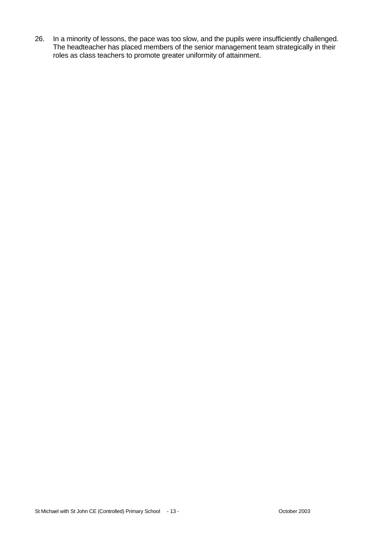26. In a minority of lessons, the pace was too slow, and the pupils were insufficiently challenged. The headteacher has placed members of the senior management team strategically in their roles as class teachers to promote greater uniformity of attainment.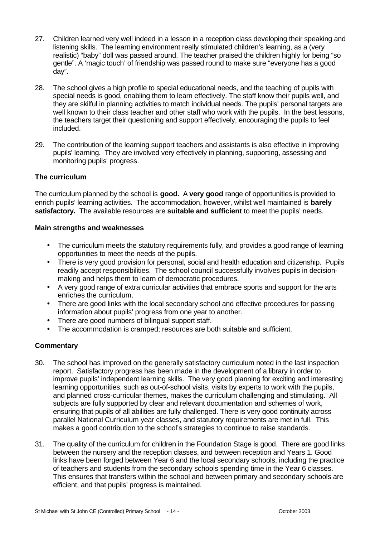- 27. Children learned very well indeed in a lesson in a reception class developing their speaking and listening skills. The learning environment really stimulated children's learning, as a (very realistic) "baby" doll was passed around. The teacher praised the children highly for being "so gentle". A 'magic touch' of friendship was passed round to make sure "everyone has a good day".
- 28. The school gives a high profile to special educational needs, and the teaching of pupils with special needs is good, enabling them to learn effectively. The staff know their pupils well, and they are skilful in planning activities to match individual needs. The pupils' personal targets are well known to their class teacher and other staff who work with the pupils. In the best lessons, the teachers target their questioning and support effectively, encouraging the pupils to feel included.
- 29. The contribution of the learning support teachers and assistants is also effective in improving pupils' learning. They are involved very effectively in planning, supporting, assessing and monitoring pupils' progress.

#### **The curriculum**

The curriculum planned by the school is **good.** A **very good** range of opportunities is provided to enrich pupils' learning activities. The accommodation, however, whilst well maintained is **barely satisfactory.** The available resources are **suitable and sufficient** to meet the pupils' needs.

#### **Main strengths and weaknesses**

- The curriculum meets the statutory requirements fully, and provides a good range of learning opportunities to meet the needs of the pupils.
- There is very good provision for personal, social and health education and citizenship. Pupils readily accept responsibilities. The school council successfully involves pupils in decisionmaking and helps them to learn of democratic procedures.
- A very good range of extra curricular activities that embrace sports and support for the arts enriches the curriculum.
- There are good links with the local secondary school and effective procedures for passing information about pupils' progress from one year to another.
- There are good numbers of bilingual support staff.
- The accommodation is cramped; resources are both suitable and sufficient.

#### **Commentary**

- 30. The school has improved on the generally satisfactory curriculum noted in the last inspection report. Satisfactory progress has been made in the development of a library in order to improve pupils' independent learning skills. The very good planning for exciting and interesting learning opportunities, such as out-of-school visits, visits by experts to work with the pupils, and planned cross-curricular themes, makes the curriculum challenging and stimulating. All subjects are fully supported by clear and relevant documentation and schemes of work, ensuring that pupils of all abilities are fully challenged. There is very good continuity across parallel National Curriculum year classes, and statutory requirements are met in full. This makes a good contribution to the school's strategies to continue to raise standards.
- 31. The quality of the curriculum for children in the Foundation Stage is good. There are good links between the nursery and the reception classes, and between reception and Years 1. Good links have been forged between Year 6 and the local secondary schools, including the practice of teachers and students from the secondary schools spending time in the Year 6 classes. This ensures that transfers within the school and between primary and secondary schools are efficient, and that pupils' progress is maintained.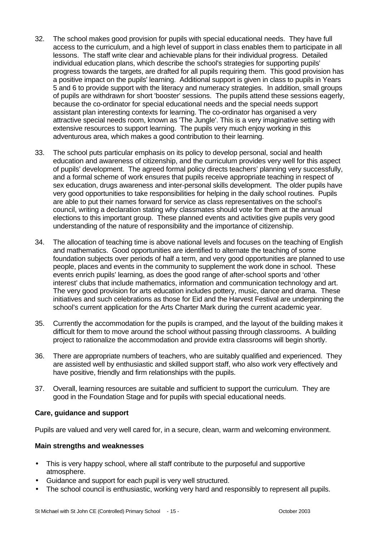- 32. The school makes good provision for pupils with special educational needs. They have full access to the curriculum, and a high level of support in class enables them to participate in all lessons. The staff write clear and achievable plans for their individual progress. Detailed individual education plans, which describe the school's strategies for supporting pupils' progress towards the targets, are drafted for all pupils requiring them. This good provision has a positive impact on the pupils' learning. Additional support is given in class to pupils in Years 5 and 6 to provide support with the literacy and numeracy strategies. In addition, small groups of pupils are withdrawn for short 'booster' sessions. The pupils attend these sessions eagerly, because the co-ordinator for special educational needs and the special needs support assistant plan interesting contexts for learning. The co-ordinator has organised a very attractive special needs room, known as 'The Jungle'. This is a very imaginative setting with extensive resources to support learning. The pupils very much enjoy working in this adventurous area, which makes a good contribution to their learning.
- 33. The school puts particular emphasis on its policy to develop personal, social and health education and awareness of citizenship, and the curriculum provides very well for this aspect of pupils' development. The agreed formal policy directs teachers' planning very successfully, and a formal scheme of work ensures that pupils receive appropriate teaching in respect of sex education, drugs awareness and inter-personal skills development. The older pupils have very good opportunities to take responsibilities for helping in the daily school routines. Pupils are able to put their names forward for service as class representatives on the school's council, writing a declaration stating why classmates should vote for them at the annual elections to this important group. These planned events and activities give pupils very good understanding of the nature of responsibility and the importance of citizenship.
- 34. The allocation of teaching time is above national levels and focuses on the teaching of English and mathematics. Good opportunities are identified to alternate the teaching of some foundation subjects over periods of half a term, and very good opportunities are planned to use people, places and events in the community to supplement the work done in school. These events enrich pupils' learning, as does the good range of after-school sports and 'other interest' clubs that include mathematics, information and communication technology and art. The very good provision for arts education includes pottery, music, dance and drama. These initiatives and such celebrations as those for Eid and the Harvest Festival are underpinning the school's current application for the Arts Charter Mark during the current academic year.
- 35. Currently the accommodation for the pupils is cramped, and the layout of the building makes it difficult for them to move around the school without passing through classrooms. A building project to rationalize the accommodation and provide extra classrooms will begin shortly.
- 36. There are appropriate numbers of teachers, who are suitably qualified and experienced. They are assisted well by enthusiastic and skilled support staff, who also work very effectively and have positive, friendly and firm relationships with the pupils.
- 37. Overall, learning resources are suitable and sufficient to support the curriculum. They are good in the Foundation Stage and for pupils with special educational needs.

#### **Care, guidance and support**

Pupils are valued and very well cared for, in a secure, clean, warm and welcoming environment.

#### **Main strengths and weaknesses**

- This is very happy school, where all staff contribute to the purposeful and supportive atmosphere.
- Guidance and support for each pupil is very well structured.
- The school council is enthusiastic, working very hard and responsibly to represent all pupils.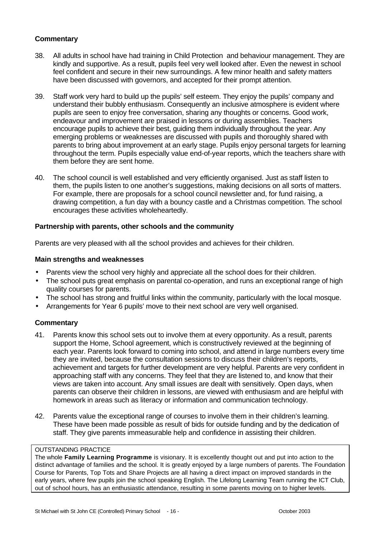## **Commentary**

- 38. All adults in school have had training in Child Protection and behaviour management. They are kindly and supportive. As a result, pupils feel very well looked after. Even the newest in school feel confident and secure in their new surroundings. A few minor health and safety matters have been discussed with governors, and accepted for their prompt attention.
- 39. Staff work very hard to build up the pupils' self esteem. They enjoy the pupils' company and understand their bubbly enthusiasm. Consequently an inclusive atmosphere is evident where pupils are seen to enjoy free conversation, sharing any thoughts or concerns. Good work, endeavour and improvement are praised in lessons or during assemblies. Teachers encourage pupils to achieve their best, guiding them individually throughout the year. Any emerging problems or weaknesses are discussed with pupils and thoroughly shared with parents to bring about improvement at an early stage. Pupils enjoy personal targets for learning throughout the term. Pupils especially value end-of-year reports, which the teachers share with them before they are sent home.
- 40. The school council is well established and very efficiently organised. Just as staff listen to them, the pupils listen to one another's suggestions, making decisions on all sorts of matters. For example, there are proposals for a school council newsletter and, for fund raising, a drawing competition, a fun day with a bouncy castle and a Christmas competition. The school encourages these activities wholeheartedly.

#### **Partnership with parents, other schools and the community**

Parents are very pleased with all the school provides and achieves for their children.

#### **Main strengths and weaknesses**

- Parents view the school very highly and appreciate all the school does for their children.
- The school puts great emphasis on parental co-operation, and runs an exceptional range of high quality courses for parents.
- The school has strong and fruitful links within the community, particularly with the local mosque.
- Arrangements for Year 6 pupils' move to their next school are very well organised.

#### **Commentary**

- 41. Parents know this school sets out to involve them at every opportunity. As a result, parents support the Home, School agreement, which is constructively reviewed at the beginning of each year. Parents look forward to coming into school, and attend in large numbers every time they are invited, because the consultation sessions to discuss their children's reports, achievement and targets for further development are very helpful. Parents are very confident in approaching staff with any concerns. They feel that they are listened to, and know that their views are taken into account. Any small issues are dealt with sensitively. Open days, when parents can observe their children in lessons, are viewed with enthusiasm and are helpful with homework in areas such as literacy or information and communication technology.
- 42. Parents value the exceptional range of courses to involve them in their children's learning. These have been made possible as result of bids for outside funding and by the dedication of staff. They give parents immeasurable help and confidence in assisting their children.

#### OUTSTANDING PRACTICE

The whole **Family Learning Programme** is visionary. It is excellently thought out and put into action to the distinct advantage of families and the school. It is greatly enjoyed by a large numbers of parents. The Foundation Course for Parents, Top Tots and Share Projects are all having a direct impact on improved standards in the early years, where few pupils join the school speaking English. The Lifelong Learning Team running the ICT Club, out of school hours, has an enthusiastic attendance, resulting in some parents moving on to higher levels.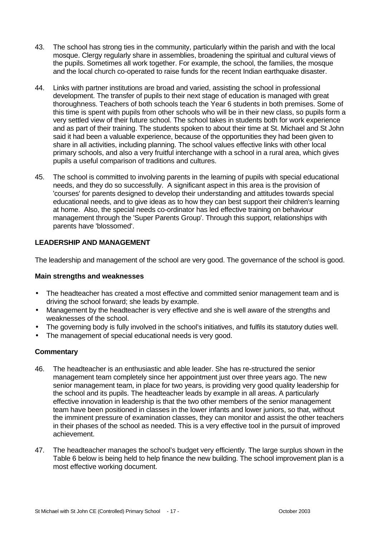- 43. The school has strong ties in the community, particularly within the parish and with the local mosque. Clergy regularly share in assemblies, broadening the spiritual and cultural views of the pupils. Sometimes all work together. For example, the school, the families, the mosque and the local church co-operated to raise funds for the recent Indian earthquake disaster.
- 44. Links with partner institutions are broad and varied, assisting the school in professional development. The transfer of pupils to their next stage of education is managed with great thoroughness. Teachers of both schools teach the Year 6 students in both premises. Some of this time is spent with pupils from other schools who will be in their new class, so pupils form a very settled view of their future school. The school takes in students both for work experience and as part of their training. The students spoken to about their time at St. Michael and St John said it had been a valuable experience, because of the opportunities they had been given to share in all activities, including planning. The school values effective links with other local primary schools, and also a very fruitful interchange with a school in a rural area, which gives pupils a useful comparison of traditions and cultures.
- 45. The school is committed to involving parents in the learning of pupils with special educational needs, and they do so successfully. A significant aspect in this area is the provision of 'courses' for parents designed to develop their understanding and attitudes towards special educational needs, and to give ideas as to how they can best support their children's learning at home. Also, the special needs co-ordinator has led effective training on behaviour management through the 'Super Parents Group'. Through this support, relationships with parents have 'blossomed'.

## **LEADERSHIP AND MANAGEMENT**

The leadership and management of the school are very good. The governance of the school is good.

#### **Main strengths and weaknesses**

- The headteacher has created a most effective and committed senior management team and is driving the school forward; she leads by example.
- Management by the headteacher is very effective and she is well aware of the strengths and weaknesses of the school.
- The governing body is fully involved in the school's initiatives, and fulfils its statutory duties well.
- The management of special educational needs is very good.

#### **Commentary**

- 46. The headteacher is an enthusiastic and able leader. She has re-structured the senior management team completely since her appointment just over three years ago. The new senior management team, in place for two years, is providing very good quality leadership for the school and its pupils. The headteacher leads by example in all areas. A particularly effective innovation in leadership is that the two other members of the senior management team have been positioned in classes in the lower infants and lower juniors, so that, without the imminent pressure of examination classes, they can monitor and assist the other teachers in their phases of the school as needed. This is a very effective tool in the pursuit of improved achievement.
- 47. The headteacher manages the school's budget very efficiently. The large surplus shown in the Table 6 below is being held to help finance the new building. The school improvement plan is a most effective working document.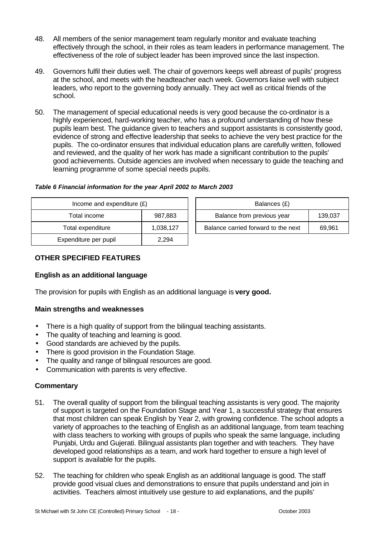- 48. All members of the senior management team regularly monitor and evaluate teaching effectively through the school, in their roles as team leaders in performance management. The effectiveness of the role of subject leader has been improved since the last inspection.
- 49. Governors fulfil their duties well. The chair of governors keeps well abreast of pupils' progress at the school, and meets with the headteacher each week. Governors liaise well with subject leaders, who report to the governing body annually. They act well as critical friends of the school.
- 50. The management of special educational needs is very good because the co-ordinator is a highly experienced, hard-working teacher, who has a profound understanding of how these pupils learn best. The guidance given to teachers and support assistants is consistently good, evidence of strong and effective leadership that seeks to achieve the very best practice for the pupils. The co-ordinator ensures that individual education plans are carefully written, followed and reviewed, and the quality of her work has made a significant contribution to the pupils' good achievements. Outside agencies are involved when necessary to guide the teaching and learning programme of some special needs pupils.

| Table 6 Financial information for the year April 2002 to March 2003 |
|---------------------------------------------------------------------|
|                                                                     |

| Income and expenditure $(E)$ |           | Balances (£)                        |         |
|------------------------------|-----------|-------------------------------------|---------|
| Total income                 | 987,883   | Balance from previous year          | 139,037 |
| Total expenditure            | 1,038,127 | Balance carried forward to the next | 69,961  |
| Expenditure per pupil        | 2,294     |                                     |         |

# **OTHER SPECIFIED FEATURES**

#### **English as an additional language**

The provision for pupils with English as an additional language is **very good.**

#### **Main strengths and weaknesses**

- There is a high quality of support from the bilingual teaching assistants.
- The quality of teaching and learning is good.
- Good standards are achieved by the pupils.
- There is good provision in the Foundation Stage.
- The quality and range of bilingual resources are good.
- Communication with parents is very effective.

#### **Commentary**

- 51. The overall quality of support from the bilingual teaching assistants is very good. The majority of support is targeted on the Foundation Stage and Year 1, a successful strategy that ensures that most children can speak English by Year 2, with growing confidence. The school adopts a variety of approaches to the teaching of English as an additional language, from team teaching with class teachers to working with groups of pupils who speak the same language, including Punjabi, Urdu and Gujerati. Bilingual assistants plan together and with teachers. They have developed good relationships as a team, and work hard together to ensure a high level of support is available for the pupils.
- 52. The teaching for children who speak English as an additional language is good. The staff provide good visual clues and demonstrations to ensure that pupils understand and join in activities. Teachers almost intuitively use gesture to aid explanations, and the pupils'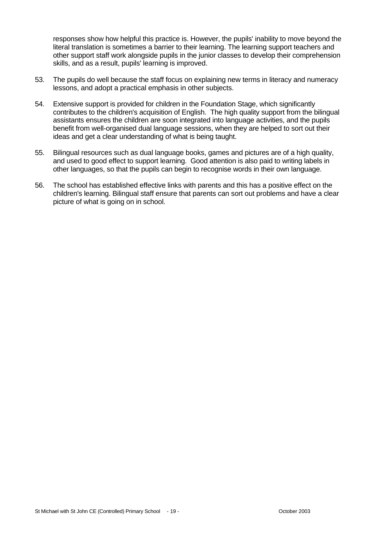responses show how helpful this practice is. However, the pupils' inability to move beyond the literal translation is sometimes a barrier to their learning. The learning support teachers and other support staff work alongside pupils in the junior classes to develop their comprehension skills, and as a result, pupils' learning is improved.

- 53. The pupils do well because the staff focus on explaining new terms in literacy and numeracy lessons, and adopt a practical emphasis in other subjects.
- 54. Extensive support is provided for children in the Foundation Stage, which significantly contributes to the children's acquisition of English. The high quality support from the bilingual assistants ensures the children are soon integrated into language activities, and the pupils benefit from well-organised dual language sessions, when they are helped to sort out their ideas and get a clear understanding of what is being taught.
- 55. Bilingual resources such as dual language books, games and pictures are of a high quality, and used to good effect to support learning. Good attention is also paid to writing labels in other languages, so that the pupils can begin to recognise words in their own language.
- 56. The school has established effective links with parents and this has a positive effect on the children's learning. Bilingual staff ensure that parents can sort out problems and have a clear picture of what is going on in school.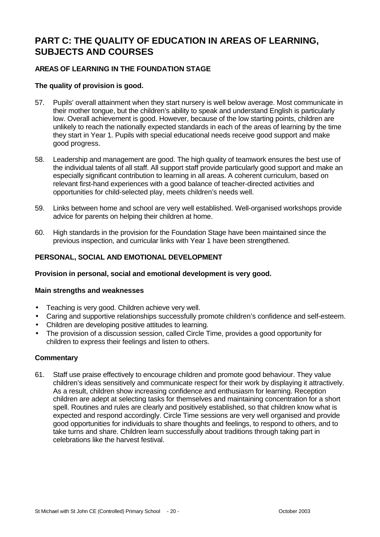# **PART C: THE QUALITY OF EDUCATION IN AREAS OF LEARNING, SUBJECTS AND COURSES**

# **AREAS OF LEARNING IN THE FOUNDATION STAGE**

#### **The quality of provision is good.**

- 57. Pupils' overall attainment when they start nursery is well below average. Most communicate in their mother tongue, but the children's ability to speak and understand English is particularly low. Overall achievement is good. However, because of the low starting points, children are unlikely to reach the nationally expected standards in each of the areas of learning by the time they start in Year 1. Pupils with special educational needs receive good support and make good progress.
- 58. Leadership and management are good. The high quality of teamwork ensures the best use of the individual talents of all staff. All support staff provide particularly good support and make an especially significant contribution to learning in all areas. A coherent curriculum, based on relevant first-hand experiences with a good balance of teacher-directed activities and opportunities for child-selected play, meets children's needs well.
- 59. Links between home and school are very well established. Well-organised workshops provide advice for parents on helping their children at home.
- 60. High standards in the provision for the Foundation Stage have been maintained since the previous inspection, and curricular links with Year 1 have been strengthened.

#### **PERSONAL, SOCIAL AND EMOTIONAL DEVELOPMENT**

#### **Provision in personal, social and emotional development is very good.**

#### **Main strengths and weaknesses**

- Teaching is very good. Children achieve very well.
- Caring and supportive relationships successfully promote children's confidence and self-esteem.
- Children are developing positive attitudes to learning.
- The provision of a discussion session, called Circle Time, provides a good opportunity for children to express their feelings and listen to others.

#### **Commentary**

61. Staff use praise effectively to encourage children and promote good behaviour. They value children's ideas sensitively and communicate respect for their work by displaying it attractively. As a result, children show increasing confidence and enthusiasm for learning. Reception children are adept at selecting tasks for themselves and maintaining concentration for a short spell. Routines and rules are clearly and positively established, so that children know what is expected and respond accordingly. Circle Time sessions are very well organised and provide good opportunities for individuals to share thoughts and feelings, to respond to others, and to take turns and share. Children learn successfully about traditions through taking part in celebrations like the harvest festival.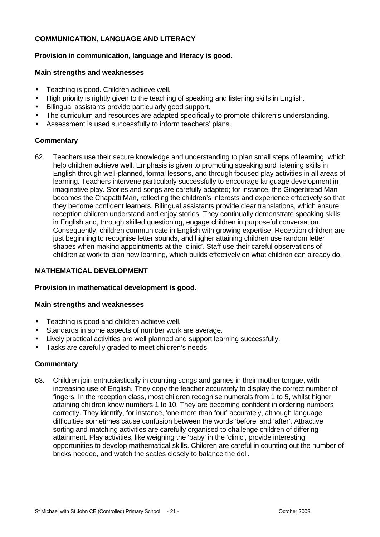### **COMMUNICATION, LANGUAGE AND LITERACY**

#### **Provision in communication, language and literacy is good.**

#### **Main strengths and weaknesses**

- Teaching is good. Children achieve well.
- High priority is rightly given to the teaching of speaking and listening skills in English.
- Bilingual assistants provide particularly good support.
- The curriculum and resources are adapted specifically to promote children's understanding.
- Assessment is used successfully to inform teachers' plans.

## **Commentary**

62. Teachers use their secure knowledge and understanding to plan small steps of learning, which help children achieve well. Emphasis is given to promoting speaking and listening skills in English through well-planned, formal lessons, and through focused play activities in all areas of learning. Teachers intervene particularly successfully to encourage language development in imaginative play. Stories and songs are carefully adapted; for instance, the Gingerbread Man becomes the Chapatti Man, reflecting the children's interests and experience effectively so that they become confident learners. Bilingual assistants provide clear translations, which ensure reception children understand and enjoy stories. They continually demonstrate speaking skills in English and, through skilled questioning, engage children in purposeful conversation. Consequently, children communicate in English with growing expertise. Reception children are just beginning to recognise letter sounds, and higher attaining children use random letter shapes when making appointments at the 'clinic'. Staff use their careful observations of children at work to plan new learning, which builds effectively on what children can already do.

#### **MATHEMATICAL DEVELOPMENT**

#### **Provision in mathematical development is good.**

#### **Main strengths and weaknesses**

- Teaching is good and children achieve well.
- Standards in some aspects of number work are average.
- Lively practical activities are well planned and support learning successfully.
- Tasks are carefully graded to meet children's needs.

#### **Commentary**

63. Children join enthusiastically in counting songs and games in their mother tongue, with increasing use of English. They copy the teacher accurately to display the correct number of fingers. In the reception class, most children recognise numerals from 1 to 5, whilst higher attaining children know numbers 1 to 10. They are becoming confident in ordering numbers correctly. They identify, for instance, 'one more than four' accurately, although language difficulties sometimes cause confusion between the words 'before' and 'after'. Attractive sorting and matching activities are carefully organised to challenge children of differing attainment. Play activities, like weighing the 'baby' in the 'clinic', provide interesting opportunities to develop mathematical skills. Children are careful in counting out the number of bricks needed, and watch the scales closely to balance the doll.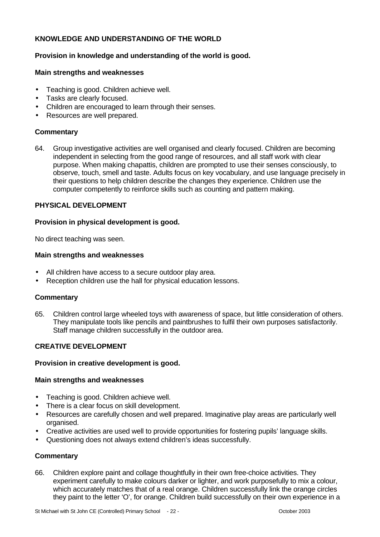## **KNOWLEDGE AND UNDERSTANDING OF THE WORLD**

#### **Provision in knowledge and understanding of the world is good.**

#### **Main strengths and weaknesses**

- Teaching is good. Children achieve well.
- Tasks are clearly focused.
- Children are encouraged to learn through their senses.
- Resources are well prepared.

#### **Commentary**

64. Group investigative activities are well organised and clearly focused. Children are becoming independent in selecting from the good range of resources, and all staff work with clear purpose. When making chapattis, children are prompted to use their senses consciously, to observe, touch, smell and taste. Adults focus on key vocabulary, and use language precisely in their questions to help children describe the changes they experience. Children use the computer competently to reinforce skills such as counting and pattern making.

#### **PHYSICAL DEVELOPMENT**

#### **Provision in physical development is good.**

No direct teaching was seen.

#### **Main strengths and weaknesses**

- All children have access to a secure outdoor play area.
- Reception children use the hall for physical education lessons.

#### **Commentary**

65. Children control large wheeled toys with awareness of space, but little consideration of others. They manipulate tools like pencils and paintbrushes to fulfil their own purposes satisfactorily. Staff manage children successfully in the outdoor area.

#### **CREATIVE DEVELOPMENT**

#### **Provision in creative development is good.**

#### **Main strengths and weaknesses**

- Teaching is good. Children achieve well.
- There is a clear focus on skill development.
- Resources are carefully chosen and well prepared. Imaginative play areas are particularly well organised.
- Creative activities are used well to provide opportunities for fostering pupils' language skills.
- Questioning does not always extend children's ideas successfully.

#### **Commentary**

66. Children explore paint and collage thoughtfully in their own free-choice activities. They experiment carefully to make colours darker or lighter, and work purposefully to mix a colour, which accurately matches that of a real orange. Children successfully link the orange circles they paint to the letter 'O', for orange. Children build successfully on their own experience in a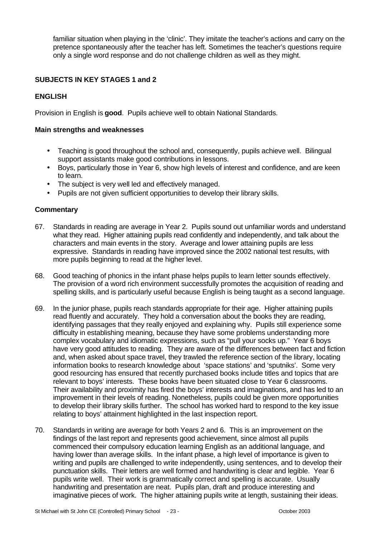familiar situation when playing in the 'clinic'. They imitate the teacher's actions and carry on the pretence spontaneously after the teacher has left. Sometimes the teacher's questions require only a single word response and do not challenge children as well as they might.

# **SUBJECTS IN KEY STAGES 1 and 2**

## **ENGLISH**

Provision in English is **good**. Pupils achieve well to obtain National Standards.

#### **Main strengths and weaknesses**

- Teaching is good throughout the school and, consequently, pupils achieve well. Bilingual support assistants make good contributions in lessons.
- Boys, particularly those in Year 6, show high levels of interest and confidence, and are keen to learn.
- The subject is very well led and effectively managed.
- Pupils are not given sufficient opportunities to develop their library skills.

#### **Commentary**

- 67. Standards in reading are average in Year 2. Pupils sound out unfamiliar words and understand what they read. Higher attaining pupils read confidently and independently, and talk about the characters and main events in the story. Average and lower attaining pupils are less expressive. Standards in reading have improved since the 2002 national test results, with more pupils beginning to read at the higher level.
- 68. Good teaching of phonics in the infant phase helps pupils to learn letter sounds effectively. The provision of a word rich environment successfully promotes the acquisition of reading and spelling skills, and is particularly useful because English is being taught as a second language.
- 69. In the junior phase, pupils reach standards appropriate for their age. Higher attaining pupils read fluently and accurately. They hold a conversation about the books they are reading, identifying passages that they really enjoyed and explaining why. Pupils still experience some difficulty in establishing meaning, because they have some problems understanding more complex vocabulary and idiomatic expressions, such as "pull your socks up." Year 6 boys have very good attitudes to reading. They are aware of the differences between fact and fiction and, when asked about space travel, they trawled the reference section of the library, locating information books to research knowledge about 'space stations' and 'sputniks'. Some very good resourcing has ensured that recently purchased books include titles and topics that are relevant to boys' interests. These books have been situated close to Year 6 classrooms. Their availability and proximity has fired the boys' interests and imaginations, and has led to an improvement in their levels of reading. Nonetheless, pupils could be given more opportunities to develop their library skills further. The school has worked hard to respond to the key issue relating to boys' attainment highlighted in the last inspection report.
- 70. Standards in writing are average for both Years 2 and 6. This is an improvement on the findings of the last report and represents good achievement, since almost all pupils commenced their compulsory education learning English as an additional language, and having lower than average skills. In the infant phase, a high level of importance is given to writing and pupils are challenged to write independently, using sentences, and to develop their punctuation skills. Their letters are well formed and handwriting is clear and legible. Year 6 pupils write well. Their work is grammatically correct and spelling is accurate. Usually handwriting and presentation are neat. Pupils plan, draft and produce interesting and imaginative pieces of work. The higher attaining pupils write at length, sustaining their ideas.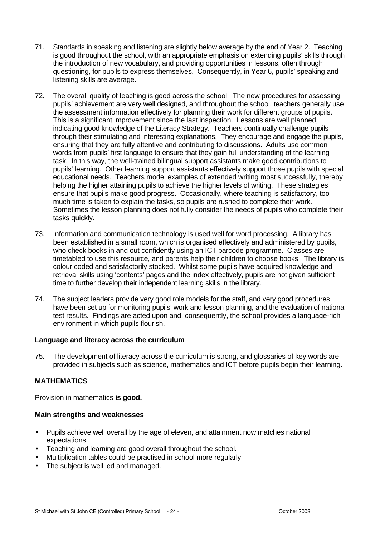- 71. Standards in speaking and listening are slightly below average by the end of Year 2. Teaching is good throughout the school, with an appropriate emphasis on extending pupils' skills through the introduction of new vocabulary, and providing opportunities in lessons, often through questioning, for pupils to express themselves. Consequently, in Year 6, pupils' speaking and listening skills are average.
- 72. The overall quality of teaching is good across the school. The new procedures for assessing pupils' achievement are very well designed, and throughout the school, teachers generally use the assessment information effectively for planning their work for different groups of pupils. This is a significant improvement since the last inspection. Lessons are well planned, indicating good knowledge of the Literacy Strategy. Teachers continually challenge pupils through their stimulating and interesting explanations. They encourage and engage the pupils, ensuring that they are fully attentive and contributing to discussions. Adults use common words from pupils' first language to ensure that they gain full understanding of the learning task. In this way, the well-trained bilingual support assistants make good contributions to pupils' learning. Other learning support assistants effectively support those pupils with special educational needs. Teachers model examples of extended writing most successfully, thereby helping the higher attaining pupils to achieve the higher levels of writing. These strategies ensure that pupils make good progress. Occasionally, where teaching is satisfactory, too much time is taken to explain the tasks, so pupils are rushed to complete their work. Sometimes the lesson planning does not fully consider the needs of pupils who complete their tasks quickly.
- 73. Information and communication technology is used well for word processing. A library has been established in a small room, which is organised effectively and administered by pupils, who check books in and out confidently using an ICT barcode programme. Classes are timetabled to use this resource, and parents help their children to choose books. The library is colour coded and satisfactorily stocked. Whilst some pupils have acquired knowledge and retrieval skills using 'contents' pages and the index effectively, pupils are not given sufficient time to further develop their independent learning skills in the library.
- 74. The subject leaders provide very good role models for the staff, and very good procedures have been set up for monitoring pupils' work and lesson planning, and the evaluation of national test results. Findings are acted upon and, consequently, the school provides a language-rich environment in which pupils flourish.

#### **Language and literacy across the curriculum**

75. The development of literacy across the curriculum is strong, and glossaries of key words are provided in subjects such as science, mathematics and ICT before pupils begin their learning.

#### **MATHEMATICS**

Provision in mathematics **is good.**

#### **Main strengths and weaknesses**

- Pupils achieve well overall by the age of eleven, and attainment now matches national expectations.
- Teaching and learning are good overall throughout the school.
- Multiplication tables could be practised in school more regularly.
- The subject is well led and managed.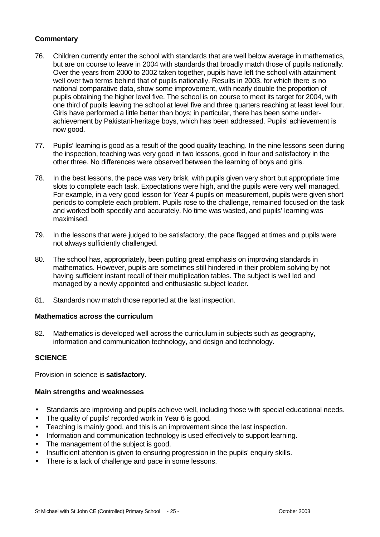### **Commentary**

- 76. Children currently enter the school with standards that are well below average in mathematics, but are on course to leave in 2004 with standards that broadly match those of pupils nationally. Over the years from 2000 to 2002 taken together, pupils have left the school with attainment well over two terms behind that of pupils nationally. Results in 2003, for which there is no national comparative data, show some improvement, with nearly double the proportion of pupils obtaining the higher level five. The school is on course to meet its target for 2004, with one third of pupils leaving the school at level five and three quarters reaching at least level four. Girls have performed a little better than boys; in particular, there has been some underachievement by Pakistani-heritage boys, which has been addressed. Pupils' achievement is now good.
- 77. Pupils' learning is good as a result of the good quality teaching. In the nine lessons seen during the inspection, teaching was very good in two lessons, good in four and satisfactory in the other three. No differences were observed between the learning of boys and girls.
- 78. In the best lessons, the pace was very brisk, with pupils given very short but appropriate time slots to complete each task. Expectations were high, and the pupils were very well managed. For example, in a very good lesson for Year 4 pupils on measurement, pupils were given short periods to complete each problem. Pupils rose to the challenge, remained focused on the task and worked both speedily and accurately. No time was wasted, and pupils' learning was maximised.
- 79. In the lessons that were judged to be satisfactory, the pace flagged at times and pupils were not always sufficiently challenged.
- 80. The school has, appropriately, been putting great emphasis on improving standards in mathematics. However, pupils are sometimes still hindered in their problem solving by not having sufficient instant recall of their multiplication tables. The subject is well led and managed by a newly appointed and enthusiastic subject leader.
- 81. Standards now match those reported at the last inspection.

#### **Mathematics across the curriculum**

82. Mathematics is developed well across the curriculum in subjects such as geography, information and communication technology, and design and technology.

#### **SCIENCE**

Provision in science is **satisfactory.**

#### **Main strengths and weaknesses**

- Standards are improving and pupils achieve well, including those with special educational needs.
- The quality of pupils' recorded work in Year 6 is good.
- Teaching is mainly good, and this is an improvement since the last inspection.
- Information and communication technology is used effectively to support learning.
- The management of the subject is good.
- Insufficient attention is given to ensuring progression in the pupils' enquiry skills.
- There is a lack of challenge and pace in some lessons.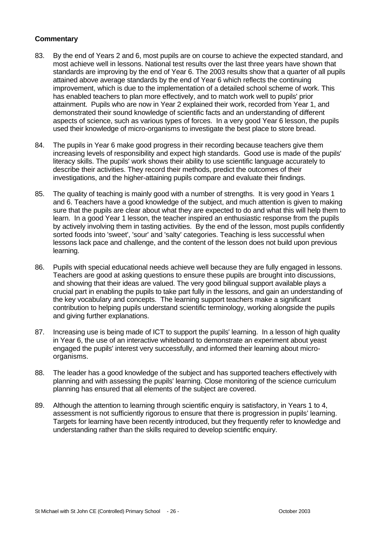#### **Commentary**

- 83. By the end of Years 2 and 6, most pupils are on course to achieve the expected standard, and most achieve well in lessons. National test results over the last three years have shown that standards are improving by the end of Year 6. The 2003 results show that a quarter of all pupils attained above average standards by the end of Year 6 which reflects the continuing improvement, which is due to the implementation of a detailed school scheme of work. This has enabled teachers to plan more effectively, and to match work well to pupils' prior attainment. Pupils who are now in Year 2 explained their work, recorded from Year 1, and demonstrated their sound knowledge of scientific facts and an understanding of different aspects of science, such as various types of forces. In a very good Year 6 lesson, the pupils used their knowledge of micro-organisms to investigate the best place to store bread.
- 84. The pupils in Year 6 make good progress in their recording because teachers give them increasing levels of responsibility and expect high standards. Good use is made of the pupils' literacy skills. The pupils' work shows their ability to use scientific language accurately to describe their activities. They record their methods, predict the outcomes of their investigations, and the higher-attaining pupils compare and evaluate their findings.
- 85. The quality of teaching is mainly good with a number of strengths. It is very good in Years 1 and 6. Teachers have a good knowledge of the subject, and much attention is given to making sure that the pupils are clear about what they are expected to do and what this will help them to learn. In a good Year 1 lesson, the teacher inspired an enthusiastic response from the pupils by actively involving them in tasting activities. By the end of the lesson, most pupils confidently sorted foods into 'sweet', 'sour' and 'salty' categories. Teaching is less successful when lessons lack pace and challenge, and the content of the lesson does not build upon previous learning.
- 86. Pupils with special educational needs achieve well because they are fully engaged in lessons. Teachers are good at asking questions to ensure these pupils are brought into discussions, and showing that their ideas are valued. The very good bilingual support available plays a crucial part in enabling the pupils to take part fully in the lessons, and gain an understanding of the key vocabulary and concepts. The learning support teachers make a significant contribution to helping pupils understand scientific terminology, working alongside the pupils and giving further explanations.
- 87. Increasing use is being made of ICT to support the pupils' learning. In a lesson of high quality in Year 6, the use of an interactive whiteboard to demonstrate an experiment about yeast engaged the pupils' interest very successfully, and informed their learning about microorganisms.
- 88. The leader has a good knowledge of the subject and has supported teachers effectively with planning and with assessing the pupils' learning. Close monitoring of the science curriculum planning has ensured that all elements of the subject are covered.
- 89. Although the attention to learning through scientific enquiry is satisfactory, in Years 1 to 4, assessment is not sufficiently rigorous to ensure that there is progression in pupils' learning. Targets for learning have been recently introduced, but they frequently refer to knowledge and understanding rather than the skills required to develop scientific enquiry.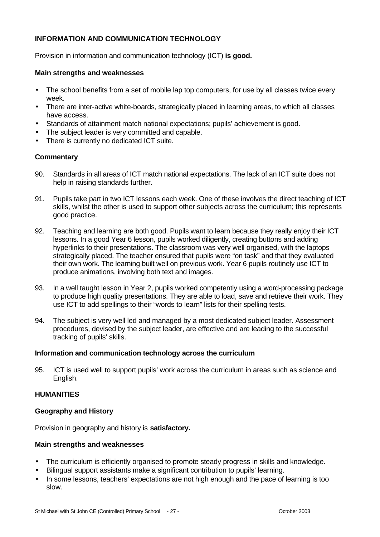#### **INFORMATION AND COMMUNICATION TECHNOLOGY**

Provision in information and communication technology (ICT) **is good.**

#### **Main strengths and weaknesses**

- The school benefits from a set of mobile lap top computers, for use by all classes twice every week.
- There are inter-active white-boards, strategically placed in learning areas, to which all classes have access.
- Standards of attainment match national expectations; pupils' achievement is good.
- The subject leader is very committed and capable.
- There is currently no dedicated ICT suite.

#### **Commentary**

- 90. Standards in all areas of ICT match national expectations. The lack of an ICT suite does not help in raising standards further.
- 91. Pupils take part in two ICT lessons each week. One of these involves the direct teaching of ICT skills, whilst the other is used to support other subjects across the curriculum; this represents good practice.
- 92. Teaching and learning are both good. Pupils want to learn because they really enjoy their ICT lessons. In a good Year 6 lesson, pupils worked diligently, creating buttons and adding hyperlinks to their presentations. The classroom was very well organised, with the laptops strategically placed. The teacher ensured that pupils were "on task" and that they evaluated their own work. The learning built well on previous work. Year 6 pupils routinely use ICT to produce animations, involving both text and images.
- 93. In a well taught lesson in Year 2, pupils worked competently using a word-processing package to produce high quality presentations. They are able to load, save and retrieve their work. They use ICT to add spellings to their "words to learn" lists for their spelling tests.
- 94. The subject is very well led and managed by a most dedicated subject leader. Assessment procedures, devised by the subject leader, are effective and are leading to the successful tracking of pupils' skills.

#### **Information and communication technology across the curriculum**

95. ICT is used well to support pupils' work across the curriculum in areas such as science and English.

### **HUMANITIES**

#### **Geography and History**

Provision in geography and history is **satisfactory.**

#### **Main strengths and weaknesses**

- The curriculum is efficiently organised to promote steady progress in skills and knowledge.
- Bilingual support assistants make a significant contribution to pupils' learning.
- In some lessons, teachers' expectations are not high enough and the pace of learning is too slow.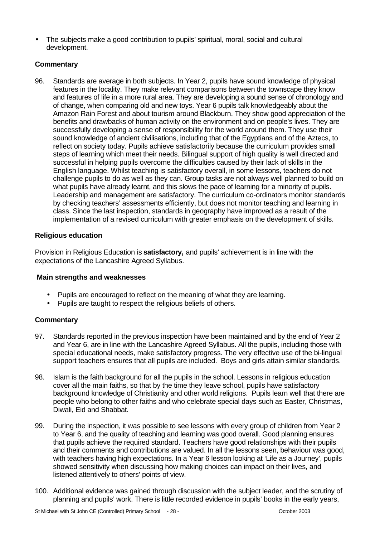• The subjects make a good contribution to pupils' spiritual, moral, social and cultural development.

## **Commentary**

96. Standards are average in both subjects. In Year 2, pupils have sound knowledge of physical features in the locality. They make relevant comparisons between the townscape they know and features of life in a more rural area. They are developing a sound sense of chronology and of change, when comparing old and new toys. Year 6 pupils talk knowledgeably about the Amazon Rain Forest and about tourism around Blackburn. They show good appreciation of the benefits and drawbacks of human activity on the environment and on people's lives. They are successfully developing a sense of responsibility for the world around them. They use their sound knowledge of ancient civilisations, including that of the Egyptians and of the Aztecs, to reflect on society today. Pupils achieve satisfactorily because the curriculum provides small steps of learning which meet their needs. Bilingual support of high quality is well directed and successful in helping pupils overcome the difficulties caused by their lack of skills in the English language. Whilst teaching is satisfactory overall, in some lessons, teachers do not challenge pupils to do as well as they can. Group tasks are not always well planned to build on what pupils have already learnt, and this slows the pace of learning for a minority of pupils. Leadership and management are satisfactory. The curriculum co-ordinators monitor standards by checking teachers' assessments efficiently, but does not monitor teaching and learning in class. Since the last inspection, standards in geography have improved as a result of the implementation of a revised curriculum with greater emphasis on the development of skills.

## **Religious education**

Provision in Religious Education is **satisfactory,** and pupils' achievement is in line with the expectations of the Lancashire Agreed Syllabus.

#### **Main strengths and weaknesses**

- Pupils are encouraged to reflect on the meaning of what they are learning.
- Pupils are taught to respect the religious beliefs of others.

#### **Commentary**

- 97. Standards reported in the previous inspection have been maintained and by the end of Year 2 and Year 6, are in line with the Lancashire Agreed Syllabus. All the pupils, including those with special educational needs, make satisfactory progress. The very effective use of the bi-lingual support teachers ensures that all pupils are included. Boys and girls attain similar standards.
- 98. Islam is the faith background for all the pupils in the school. Lessons in religious education cover all the main faiths, so that by the time they leave school, pupils have satisfactory background knowledge of Christianity and other world religions. Pupils learn well that there are people who belong to other faiths and who celebrate special days such as Easter, Christmas, Diwali, Eid and Shabbat.
- 99. During the inspection, it was possible to see lessons with every group of children from Year 2 to Year 6, and the quality of teaching and learning was good overall. Good planning ensures that pupils achieve the required standard. Teachers have good relationships with their pupils and their comments and contributions are valued. In all the lessons seen, behaviour was good, with teachers having high expectations. In a Year 6 lesson looking at 'Life as a Journey', pupils showed sensitivity when discussing how making choices can impact on their lives, and listened attentively to others' points of view.
- 100. Additional evidence was gained through discussion with the subject leader, and the scrutiny of planning and pupils' work. There is little recorded evidence in pupils' books in the early years,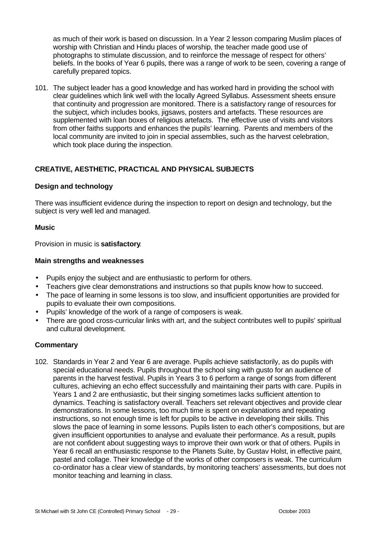as much of their work is based on discussion. In a Year 2 lesson comparing Muslim places of worship with Christian and Hindu places of worship, the teacher made good use of photographs to stimulate discussion, and to reinforce the message of respect for others' beliefs. In the books of Year 6 pupils, there was a range of work to be seen, covering a range of carefully prepared topics.

101. The subject leader has a good knowledge and has worked hard in providing the school with clear guidelines which link well with the locally Agreed Syllabus. Assessment sheets ensure that continuity and progression are monitored. There is a satisfactory range of resources for the subject, which includes books, jigsaws, posters and artefacts. These resources are supplemented with loan boxes of religious artefacts. The effective use of visits and visitors from other faiths supports and enhances the pupils' learning. Parents and members of the local community are invited to join in special assemblies, such as the harvest celebration, which took place during the inspection.

# **CREATIVE, AESTHETIC, PRACTICAL AND PHYSICAL SUBJECTS**

#### **Design and technology**

There was insufficient evidence during the inspection to report on design and technology, but the subject is very well led and managed.

#### **Music**

Provision in music is **satisfactory**.

#### **Main strengths and weaknesses**

- Pupils enjoy the subject and are enthusiastic to perform for others.
- Teachers give clear demonstrations and instructions so that pupils know how to succeed.
- The pace of learning in some lessons is too slow, and insufficient opportunities are provided for pupils to evaluate their own compositions.
- Pupils' knowledge of the work of a range of composers is weak.
- There are good cross-curricular links with art, and the subject contributes well to pupils' spiritual and cultural development.

#### **Commentary**

102. Standards in Year 2 and Year 6 are average. Pupils achieve satisfactorily, as do pupils with special educational needs. Pupils throughout the school sing with gusto for an audience of parents in the harvest festival. Pupils in Years 3 to 6 perform a range of songs from different cultures, achieving an echo effect successfully and maintaining their parts with care. Pupils in Years 1 and 2 are enthusiastic, but their singing sometimes lacks sufficient attention to dynamics. Teaching is satisfactory overall. Teachers set relevant objectives and provide clear demonstrations. In some lessons, too much time is spent on explanations and repeating instructions, so not enough time is left for pupils to be active in developing their skills. This slows the pace of learning in some lessons. Pupils listen to each other's compositions, but are given insufficient opportunities to analyse and evaluate their performance. As a result, pupils are not confident about suggesting ways to improve their own work or that of others. Pupils in Year 6 recall an enthusiastic response to the Planets Suite, by Gustav Holst, in effective paint, pastel and collage. Their knowledge of the works of other composers is weak. The curriculum co-ordinator has a clear view of standards, by monitoring teachers' assessments, but does not monitor teaching and learning in class.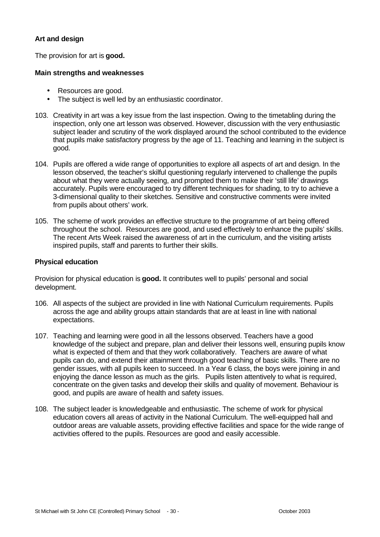#### **Art and design**

The provision for art is **good.**

#### **Main strengths and weaknesses**

- Resources are good.
- The subject is well led by an enthusiastic coordinator.
- 103. Creativity in art was a key issue from the last inspection. Owing to the timetabling during the inspection, only one art lesson was observed. However, discussion with the very enthusiastic subject leader and scrutiny of the work displayed around the school contributed to the evidence that pupils make satisfactory progress by the age of 11. Teaching and learning in the subject is good.
- 104. Pupils are offered a wide range of opportunities to explore all aspects of art and design. In the lesson observed, the teacher's skilful questioning regularly intervened to challenge the pupils about what they were actually seeing, and prompted them to make their 'still life' drawings accurately. Pupils were encouraged to try different techniques for shading, to try to achieve a 3-dimensional quality to their sketches. Sensitive and constructive comments were invited from pupils about others' work.
- 105. The scheme of work provides an effective structure to the programme of art being offered throughout the school. Resources are good, and used effectively to enhance the pupils' skills. The recent Arts Week raised the awareness of art in the curriculum, and the visiting artists inspired pupils, staff and parents to further their skills.

#### **Physical education**

Provision for physical education is **good.** It contributes well to pupils' personal and social development.

- 106. All aspects of the subject are provided in line with National Curriculum requirements. Pupils across the age and ability groups attain standards that are at least in line with national expectations.
- 107. Teaching and learning were good in all the lessons observed. Teachers have a good knowledge of the subject and prepare, plan and deliver their lessons well, ensuring pupils know what is expected of them and that they work collaboratively. Teachers are aware of what pupils can do, and extend their attainment through good teaching of basic skills. There are no gender issues, with all pupils keen to succeed. In a Year 6 class, the boys were joining in and enjoying the dance lesson as much as the girls. Pupils listen attentively to what is required, concentrate on the given tasks and develop their skills and quality of movement. Behaviour is good, and pupils are aware of health and safety issues.
- 108. The subject leader is knowledgeable and enthusiastic. The scheme of work for physical education covers all areas of activity in the National Curriculum. The well-equipped hall and outdoor areas are valuable assets, providing effective facilities and space for the wide range of activities offered to the pupils. Resources are good and easily accessible.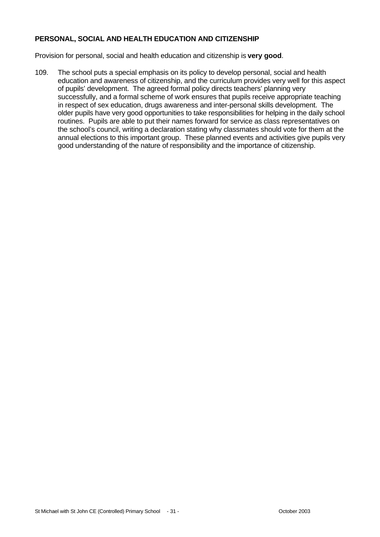## **PERSONAL, SOCIAL AND HEALTH EDUCATION AND CITIZENSHIP**

Provision for personal, social and health education and citizenship is **very good**.

109. The school puts a special emphasis on its policy to develop personal, social and health education and awareness of citizenship, and the curriculum provides very well for this aspect of pupils' development. The agreed formal policy directs teachers' planning very successfully, and a formal scheme of work ensures that pupils receive appropriate teaching in respect of sex education, drugs awareness and inter-personal skills development. The older pupils have very good opportunities to take responsibilities for helping in the daily school routines. Pupils are able to put their names forward for service as class representatives on the school's council, writing a declaration stating why classmates should vote for them at the annual elections to this important group. These planned events and activities give pupils very good understanding of the nature of responsibility and the importance of citizenship.